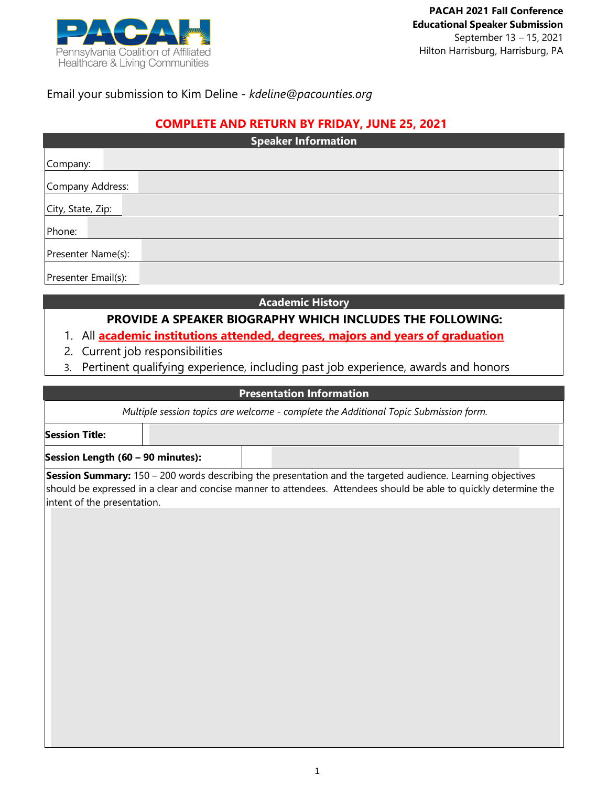

## Email your submission to Kim Deline - *kdeline@pacounties.org*

### **COMPLETE AND RETURN BY FRIDAY, JUNE 25, 2021**

| <b>Speaker Information</b> |  |  |  |  |
|----------------------------|--|--|--|--|
| Company:                   |  |  |  |  |
| Company Address:           |  |  |  |  |
| City, State, Zip:          |  |  |  |  |
| Phone:                     |  |  |  |  |
| Presenter Name(s):         |  |  |  |  |
| Presenter Email(s):        |  |  |  |  |

#### **Academic History**

# **PROVIDE A SPEAKER BIOGRAPHY WHICH INCLUDES THE FOLLOWING:**

### 1. All **academic institutions attended, degrees, majors and years of graduation**

- 2. Current job responsibilities
- 3. Pertinent qualifying experience, including past job experience, awards and honors

## **Presentation Information**

|  | Multiple session topics are welcome - complete the Additional Topic Submission form. |
|--|--------------------------------------------------------------------------------------|
|--|--------------------------------------------------------------------------------------|

**Session Title:**

**Session Length (60 – 90 minutes):**

**Session Summary:** 150 – 200 words describing the presentation and the targeted audience. Learning objectives should be expressed in a clear and concise manner to attendees. Attendees should be able to quickly determine the intent of the presentation.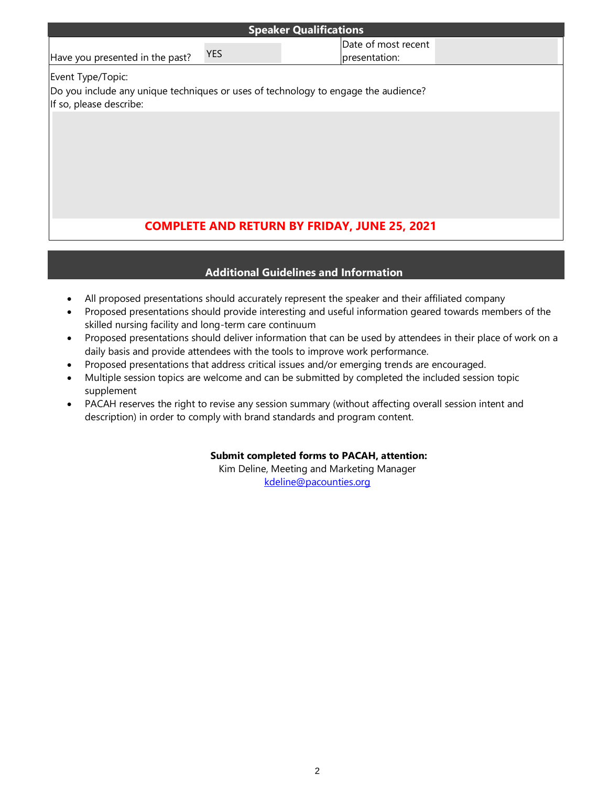| <b>Speaker Qualifications</b>                                                                                 |            |  |                                      |  |  |  |
|---------------------------------------------------------------------------------------------------------------|------------|--|--------------------------------------|--|--|--|
| Have you presented in the past?                                                                               | <b>YES</b> |  | Date of most recent<br>presentation: |  |  |  |
| Event Type/Topic:                                                                                             |            |  |                                      |  |  |  |
| Do you include any unique techniques or uses of technology to engage the audience?<br>If so, please describe: |            |  |                                      |  |  |  |
|                                                                                                               |            |  |                                      |  |  |  |
|                                                                                                               |            |  |                                      |  |  |  |
|                                                                                                               |            |  |                                      |  |  |  |
|                                                                                                               |            |  |                                      |  |  |  |
|                                                                                                               |            |  |                                      |  |  |  |
| <b>COMPLETE AND RETURN BY FRIDAY, JUNE 25, 2021</b>                                                           |            |  |                                      |  |  |  |
|                                                                                                               |            |  |                                      |  |  |  |

### **Additional Guidelines and Information**

- All proposed presentations should accurately represent the speaker and their affiliated company
- Proposed presentations should provide interesting and useful information geared towards members of the skilled nursing facility and long-term care continuum
- Proposed presentations should deliver information that can be used by attendees in their place of work on a daily basis and provide attendees with the tools to improve work performance.
- Proposed presentations that address critical issues and/or emerging trends are encouraged.
- Multiple session topics are welcome and can be submitted by completed the included session topic supplement
- PACAH reserves the right to revise any session summary (without affecting overall session intent and description) in order to comply with brand standards and program content.

#### **Submit completed forms to PACAH, attention:**

Kim Deline, Meeting and Marketing Manager [kdeline@pacounties.org](mailto:kdeline@pacounties.org)